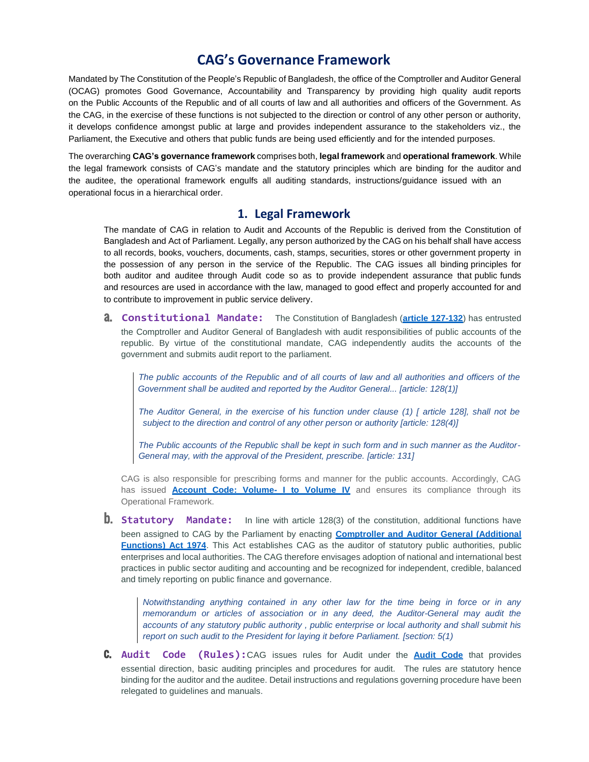## **CAG's Governance Framework**

Mandated by The Constitution of the People's Republic of Bangladesh, the office of the Comptroller and Auditor General (OCAG) promotes Good Governance, Accountability and Transparency by providing high quality audit reports on the Public Accounts of the Republic and of all courts of law and all authorities and officers of the Government. As the CAG, in the exercise of these functions is not subjected to the direction or control of any other person or authority, it develops confidence amongst public at large and provides independent assurance to the stakeholders viz., the Parliament, the Executive and others that public funds are being used efficiently and for the intended purposes.

The overarching **CAG's governance framework** comprises both, **legal framework** and **operational framework**. While the legal framework consists of CAG's mandate and the statutory principles which are binding for the auditor and the auditee, the operational framework engulfs all auditing standards, instructions/guidance issued with an operational focus in a hierarchical order.

## **1. Legal Framework**

The mandate of CAG in relation to Audit and Accounts of the Republic is derived from the Constitution of Bangladesh and Act of Parliament. Legally, any person authorized by the CAG on his behalf shall have access to all records, books, vouchers, documents, cash, stamps, securities, stores or other government property in the possession of any person in the service of the Republic. The CAG issues all binding principles for both auditor and auditee through Audit code so as to provide independent assurance that public funds and resources are used in accordance with the law, managed to good effect and properly accounted for and to contribute to improvement in public service delivery.

a. **Constitutional Mandate:** The Constitution of Bangladesh (**article [127-132](https://cag.org.bd/about/constitutional-mandate)**) has entrusted the Comptroller and Auditor General of Bangladesh with audit responsibilities of public accounts of the republic. By virtue of the constitutional mandate, CAG independently audits the accounts of the government and submits audit report to the parliament.

The public accounts of the Republic and of all courts of law and all authorities and officers of the *Government shall be audited and reported by the Auditor General... [article: 128(1)]*

The Auditor General, in the exercise of his function under clause (1) [ article 128], shall not be *subject to the direction and control of any other person or authority [article: 128(4)]*

The Public accounts of the Republic shall be kept in such form and in such manner as the Auditor-*General may, with the approval of the President, prescribe. [article: 131]*

CAG is also responsible for prescribing forms and manner for the public accounts. Accordingly, CAG has issued **[Account Code: Volume-](https://cag.org.bd/audit-resources/codes-standards) I to Volume IV** and ensures its compliance through its Operational Framework.

**b.** Statutory Mandate: In line with article 128(3) of the constitution, additional functions have been assigned to CAG by the Parliament by enacting **[Comptroller](https://cag.org.bd/storage/app/media/5c422b8cb2bf01ee8805841c5d95f1b7.pdf) and Auditor General (Additional [Functions\)](https://cag.org.bd/storage/app/media/5c422b8cb2bf01ee8805841c5d95f1b7.pdf) Act 1974**. This Act establishes CAG as the auditor of statutory public authorities, public enterprises and local authorities. The CAG therefore envisages adoption of national and international best practices in public sector auditing and accounting and be recognized for independent, credible, balanced and timely reporting on public finance and governance.

*Notwithstanding anything contained in any other law for the time being in force or in any memorandum or articles of association or in any deed, the Auditor-General may audit the accounts of any statutory public authority , public enterprise or local authority and shall submit his report on such audit to the President for laying it before Parliament. [section: 5(1)*

c. **Audit Code (Rules):**CAG issues rules for Audit under the **[Audit Code](https://cag.org.bd/storage/app/media/08cc96dcd4a0044f3fec2771ee1a090a.pdf)** that provides essential direction, basic auditing principles and procedures for audit. The rules are statutory hence binding for the auditor and the auditee. Detail instructions and regulations governing procedure have been relegated to guidelines and manuals.